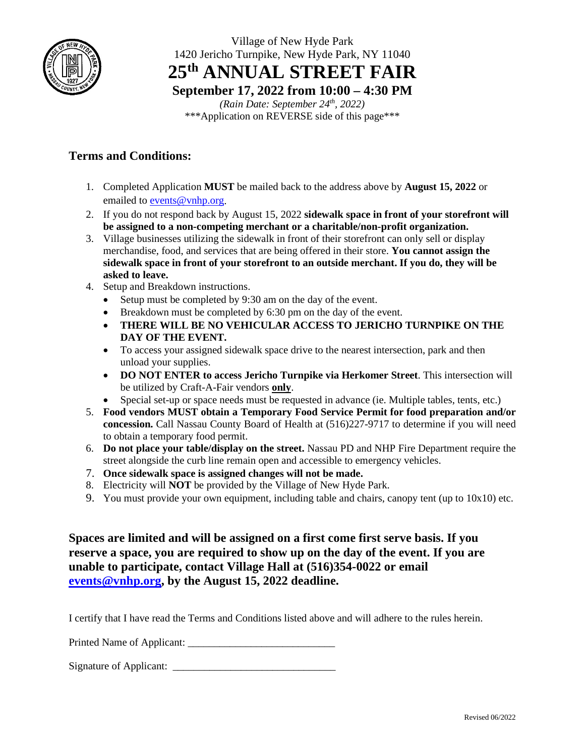

Village of New Hyde Park 1420 Jericho Turnpike, New Hyde Park, NY 11040 **25th ANNUAL STREET FAIR**

**September 17, 2022 from 10:00 – 4:30 PM**

*(Rain Date: September 24th, 2022)* \*\*\*Application on REVERSE side of this page\*\*\*

## **Terms and Conditions:**

- 1. Completed Application **MUST** be mailed back to the address above by **August 15, 2022** or emailed to [events@vnhp.org.](mailto:events@vnhp.org)
- 2. If you do not respond back by August 15, 2022 **sidewalk space in front of your storefront will be assigned to a non-competing merchant or a charitable/non-profit organization.**
- 3. Village businesses utilizing the sidewalk in front of their storefront can only sell or display merchandise, food, and services that are being offered in their store. **You cannot assign the sidewalk space in front of your storefront to an outside merchant. If you do, they will be asked to leave.**
- 4. Setup and Breakdown instructions.
	- Setup must be completed by 9:30 am on the day of the event.
	- Breakdown must be completed by 6:30 pm on the day of the event.
	- **THERE WILL BE NO VEHICULAR ACCESS TO JERICHO TURNPIKE ON THE DAY OF THE EVENT.**
	- To access your assigned sidewalk space drive to the nearest intersection, park and then unload your supplies.
	- **DO NOT ENTER to access Jericho Turnpike via Herkomer Street**. This intersection will be utilized by Craft-A-Fair vendors **only**.
	- Special set-up or space needs must be requested in advance (ie. Multiple tables, tents, etc.)
- 5. **Food vendors MUST obtain a Temporary Food Service Permit for food preparation and/or concession.** Call Nassau County Board of Health at (516)227-9717 to determine if you will need to obtain a temporary food permit.
- 6. **Do not place your table/display on the street.** Nassau PD and NHP Fire Department require the street alongside the curb line remain open and accessible to emergency vehicles.
- 7. **Once sidewalk space is assigned changes will not be made.**
- 8. Electricity will **NOT** be provided by the Village of New Hyde Park.
- 9. You must provide your own equipment, including table and chairs, canopy tent (up to  $10x10$ ) etc.

**Spaces are limited and will be assigned on a first come first serve basis. If you reserve a space, you are required to show up on the day of the event. If you are unable to participate, contact Village Hall at (516)354-0022 or email [events@vnhp.org,](mailto:events@vnhp.org) by the August 15, 2022 deadline.**

I certify that I have read the Terms and Conditions listed above and will adhere to the rules herein.

Printed Name of Applicant:

Signature of Applicant: \_\_\_\_\_\_\_\_\_\_\_\_\_\_\_\_\_\_\_\_\_\_\_\_\_\_\_\_\_\_\_